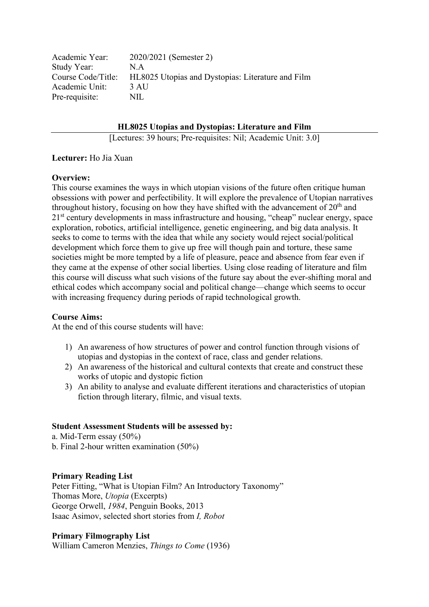| 2020/2021 (Semester 2)                            |
|---------------------------------------------------|
| N.A                                               |
| HL8025 Utopias and Dystopias: Literature and Film |
| 3 AU                                              |
| NIL.                                              |
|                                                   |

**HL8025 Utopias and Dystopias: Literature and Film**

[Lectures: 39 hours; Pre-requisites: Nil; Academic Unit: 3.0]

### **Lecturer:** Ho Jia Xuan

## **Overview:**

This course examines the ways in which utopian visions of the future often critique human obsessions with power and perfectibility. It will explore the prevalence of Utopian narratives throughout history, focusing on how they have shifted with the advancement of  $20<sup>th</sup>$  and 2<sup>1st</sup> century developments in mass infrastructure and housing, "cheap" nuclear energy, space exploration, robotics, artificial intelligence, genetic engineering, and big data analysis. It seeks to come to terms with the idea that while any society would reject social/political development which force them to give up free will though pain and torture, these same societies might be more tempted by a life of pleasure, peace and absence from fear even if they came at the expense of other social liberties. Using close reading of literature and film this course will discuss what such visions of the future say about the ever-shifting moral and ethical codes which accompany social and political change—change which seems to occur with increasing frequency during periods of rapid technological growth.

### **Course Aims:**

At the end of this course students will have:

- 1) An awareness of how structures of power and control function through visions of utopias and dystopias in the context of race, class and gender relations.
- 2) An awareness of the historical and cultural contexts that create and construct these works of utopic and dystopic fiction
- 3) An ability to analyse and evaluate different iterations and characteristics of utopian fiction through literary, filmic, and visual texts.

## **Student Assessment Students will be assessed by:**

a. Mid-Term essay (50%) b. Final 2-hour written examination (50%)

# **Primary Reading List**

Peter Fitting, "What is Utopian Film? An Introductory Taxonomy" Thomas More, *Utopia* (Excerpts) George Orwell, *1984*, Penguin Books, 2013 Isaac Asimov, selected short stories from *I, Robot* 

### **Primary Filmography List**

William Cameron Menzies, *Things to Come* (1936)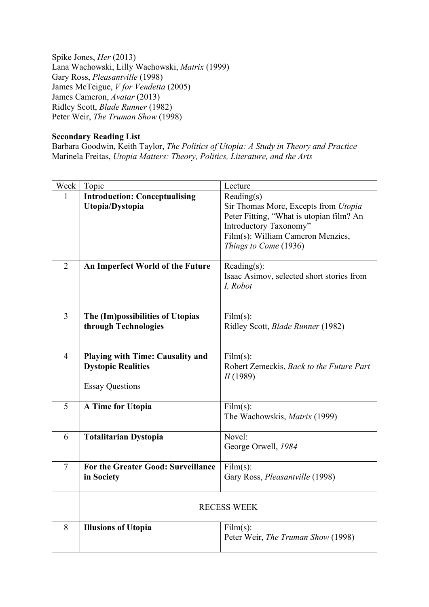Spike Jones, *Her* (2013) Lana Wachowski, Lilly Wachowski, *Matrix* (1999) Gary Ross, *Pleasantville* (1998) James McTeigue, *V for Vendetta* (2005) James Cameron, *Avatar* (2013) Ridley Scott, *Blade Runner* (1982) Peter Weir, *The Truman Show* (1998)

## **Secondary Reading List**

Barbara Goodwin, Keith Taylor, *The Politics of Utopia: A Study in Theory and Practice* Marinela Freitas, *Utopia Matters: Theory, Politics, Literature, and the Arts*

| Week           | Topic                                | Lecture                                                  |  |
|----------------|--------------------------------------|----------------------------------------------------------|--|
| 1              | <b>Introduction: Conceptualising</b> | Reading(s)                                               |  |
|                | Utopia/Dystopia                      | Sir Thomas More, Excepts from Utopia                     |  |
|                |                                      | Peter Fitting, "What is utopian film? An                 |  |
|                |                                      | Introductory Taxonomy"                                   |  |
|                |                                      | Film(s): William Cameron Menzies,                        |  |
|                |                                      | Things to Come (1936)                                    |  |
|                |                                      |                                                          |  |
| $\overline{2}$ | An Imperfect World of the Future     | Reading(s):<br>Isaac Asimov, selected short stories from |  |
|                |                                      | I, Robot                                                 |  |
|                |                                      |                                                          |  |
|                |                                      |                                                          |  |
| $\overline{3}$ | The (Im)possibilities of Utopias     | Film(s):                                                 |  |
|                | through Technologies                 | Ridley Scott, Blade Runner (1982)                        |  |
|                |                                      |                                                          |  |
|                |                                      |                                                          |  |
| $\overline{4}$ | Playing with Time: Causality and     | Film(s):                                                 |  |
|                | <b>Dystopic Realities</b>            | Robert Zemeckis, Back to the Future Part                 |  |
|                |                                      | II(1989)                                                 |  |
|                | <b>Essay Questions</b>               |                                                          |  |
| 5              | A Time for Utopia                    | Film(s):                                                 |  |
|                |                                      | The Wachowskis, <i>Matrix</i> (1999)                     |  |
|                |                                      |                                                          |  |
| 6              | <b>Totalitarian Dystopia</b>         | Novel:                                                   |  |
|                |                                      | George Orwell, 1984                                      |  |
|                |                                      |                                                          |  |
| $\tau$         | For the Greater Good: Surveillance   | Film(s):                                                 |  |
|                | in Society                           | Gary Ross, Pleasantville (1998)                          |  |
|                |                                      |                                                          |  |
|                | <b>RECESS WEEK</b>                   |                                                          |  |
|                |                                      |                                                          |  |
| 8              | <b>Illusions of Utopia</b>           | Film(s):                                                 |  |
|                |                                      | Peter Weir, The Truman Show (1998)                       |  |
|                |                                      |                                                          |  |